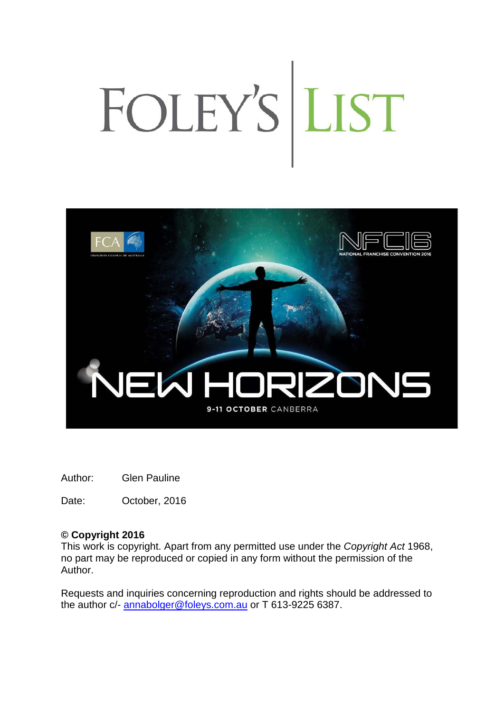# FOLEY'S LIST



Author: Glen Pauline

Date: October, 2016

# **© Copyright 2016**

This work is copyright. Apart from any permitted use under the *Copyright Act* 1968, no part may be reproduced or copied in any form without the permission of the Author.

Requests and inquiries concerning reproduction and rights should be addressed to the author c/- [annabolger@foleys.com.au](mailto:annabolger@foleys.com.au) or T 613-9225 6387.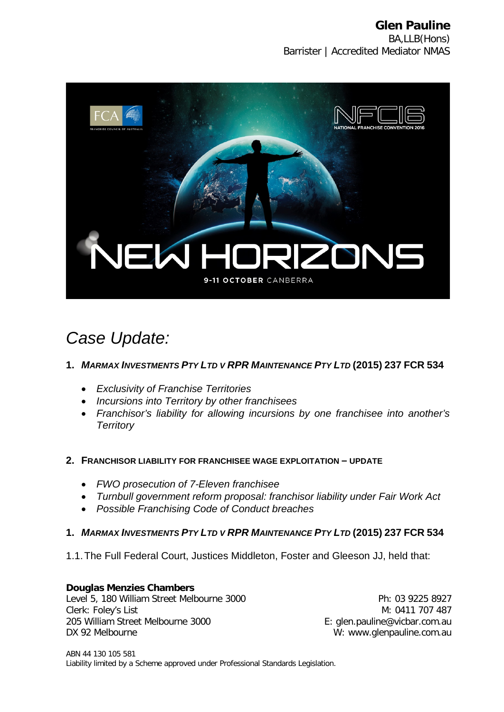

# *Case Update:*

# **1.** *MARMAX INVESTMENTS PTY LTD V RPR MAINTENANCE PTY LTD* **(2015) 237 FCR 534**

- *Exclusivity of Franchise Territories*
- *Incursions into Territory by other franchisees*
- *Franchisor's liability for allowing incursions by one franchisee into another's Territory*

# **2. FRANCHISOR LIABILITY FOR FRANCHISEE WAGE EXPLOITATION – UPDATE**

- *FWO prosecution of 7-Eleven franchisee*
- *Turnbull government reform proposal: franchisor liability under Fair Work Act*
- *Possible Franchising Code of Conduct breaches*

# **1.** *MARMAX INVESTMENTS PTY LTD V RPR MAINTENANCE PTY LTD* **(2015) 237 FCR 534**

1.1.The Full Federal Court, Justices Middleton, Foster and Gleeson JJ, held that:

**Douglas Menzies Chambers** Level 5, 180 William Street Melbourne 3000 Clerk: Foley's List 205 William Street Melbourne 3000 DX 92 Melbourne

Ph: 03 9225 8927 M: 0411 707 487 E: glen.pauline@vicbar.com.au W: www.glenpauline.com.au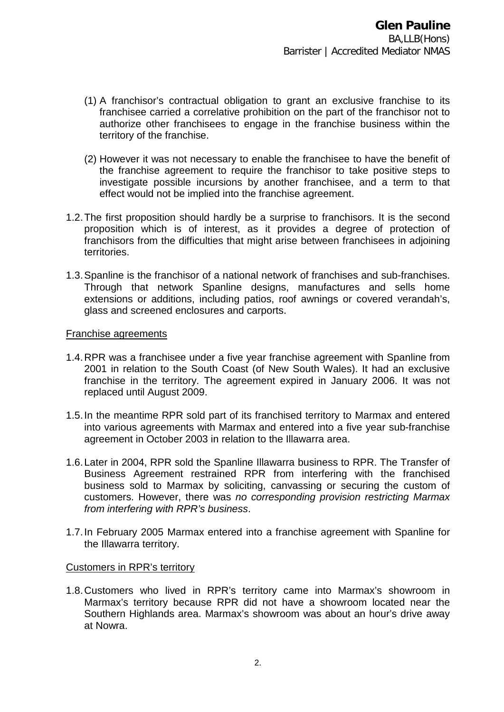- (1) A franchisor's contractual obligation to grant an exclusive franchise to its franchisee carried a correlative prohibition on the part of the franchisor not to authorize other franchisees to engage in the franchise business within the territory of the franchise.
- (2) However it was not necessary to enable the franchisee to have the benefit of the franchise agreement to require the franchisor to take positive steps to investigate possible incursions by another franchisee, and a term to that effect would not be implied into the franchise agreement.
- 1.2.The first proposition should hardly be a surprise to franchisors. It is the second proposition which is of interest, as it provides a degree of protection of franchisors from the difficulties that might arise between franchisees in adjoining territories.
- 1.3.Spanline is the franchisor of a national network of franchises and sub-franchises. Through that network Spanline designs, manufactures and sells home extensions or additions, including patios, roof awnings or covered verandah's, glass and screened enclosures and carports.

#### Franchise agreements

- 1.4.RPR was a franchisee under a five year franchise agreement with Spanline from 2001 in relation to the South Coast (of New South Wales). It had an exclusive franchise in the territory. The agreement expired in January 2006. It was not replaced until August 2009.
- 1.5.In the meantime RPR sold part of its franchised territory to Marmax and entered into various agreements with Marmax and entered into a five year sub-franchise agreement in October 2003 in relation to the Illawarra area.
- 1.6.Later in 2004, RPR sold the Spanline Illawarra business to RPR. The Transfer of Business Agreement restrained RPR from interfering with the franchised business sold to Marmax by soliciting, canvassing or securing the custom of customers. However, there was *no corresponding provision restricting Marmax from interfering with RPR's business*.
- 1.7.In February 2005 Marmax entered into a franchise agreement with Spanline for the Illawarra territory.

# Customers in RPR's territory

1.8.Customers who lived in RPR's territory came into Marmax's showroom in Marmax's territory because RPR did not have a showroom located near the Southern Highlands area. Marmax's showroom was about an hour's drive away at Nowra.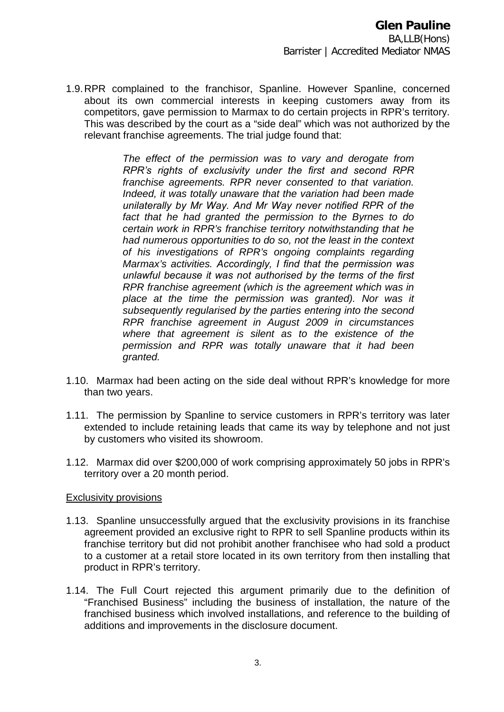1.9.RPR complained to the franchisor, Spanline. However Spanline, concerned about its own commercial interests in keeping customers away from its competitors, gave permission to Marmax to do certain projects in RPR's territory. This was described by the court as a "side deal" which was not authorized by the relevant franchise agreements. The trial judge found that:

> *The effect of the permission was to vary and derogate from RPR's rights of exclusivity under the first and second RPR franchise agreements. RPR never consented to that variation. Indeed, it was totally unaware that the variation had been made unilaterally by Mr Way. And Mr Way never notified RPR of the fact that he had granted the permission to the Byrnes to do certain work in RPR's franchise territory notwithstanding that he had numerous opportunities to do so, not the least in the context of his investigations of RPR's ongoing complaints regarding Marmax's activities. Accordingly, I find that the permission was unlawful because it was not authorised by the terms of the first RPR franchise agreement (which is the agreement which was in place at the time the permission was granted). Nor was it subsequently regularised by the parties entering into the second RPR franchise agreement in August 2009 in circumstances where that agreement is silent as to the existence of the permission and RPR was totally unaware that it had been granted.*

- 1.10. Marmax had been acting on the side deal without RPR's knowledge for more than two years.
- 1.11. The permission by Spanline to service customers in RPR's territory was later extended to include retaining leads that came its way by telephone and not just by customers who visited its showroom.
- 1.12. Marmax did over \$200,000 of work comprising approximately 50 jobs in RPR's territory over a 20 month period.

#### Exclusivity provisions

- 1.13. Spanline unsuccessfully argued that the exclusivity provisions in its franchise agreement provided an exclusive right to RPR to sell Spanline products within its franchise territory but did not prohibit another franchisee who had sold a product to a customer at a retail store located in its own territory from then installing that product in RPR's territory.
- 1.14. The Full Court rejected this argument primarily due to the definition of "Franchised Business" including the business of installation, the nature of the franchised business which involved installations, and reference to the building of additions and improvements in the disclosure document.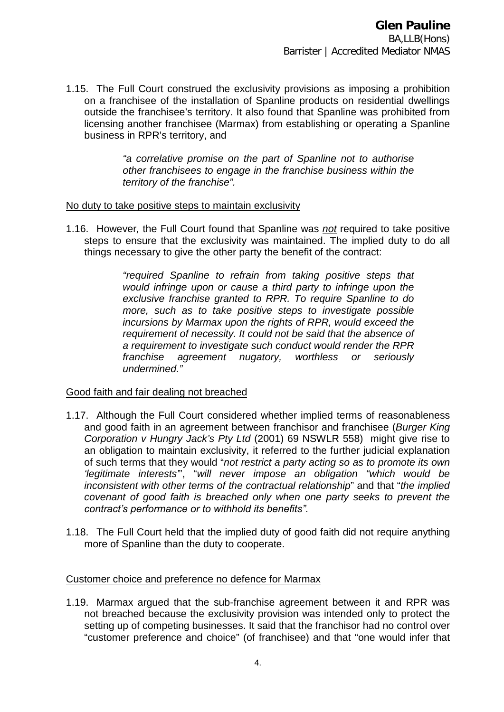1.15. The Full Court construed the exclusivity provisions as imposing a prohibition on a franchisee of the installation of Spanline products on residential dwellings outside the franchisee's territory. It also found that Spanline was prohibited from licensing another franchisee (Marmax) from establishing or operating a Spanline business in RPR's territory, and

> *"a correlative promise on the part of Spanline not to authorise other franchisees to engage in the franchise business within the territory of the franchise".*

#### No duty to take positive steps to maintain exclusivity

1.16. However*,* the Full Court found that Spanline was *not* required to take positive steps to ensure that the exclusivity was maintained. The implied duty to do all things necessary to give the other party the benefit of the contract:

> *"required Spanline to refrain from taking positive steps that would infringe upon or cause a third party to infringe upon the exclusive franchise granted to RPR. To require Spanline to do more, such as to take positive steps to investigate possible incursions by Marmax upon the rights of RPR, would exceed the requirement of necessity. It could not be said that the absence of a requirement to investigate such conduct would render the RPR franchise agreement nugatory, worthless or seriously undermined."*

# Good faith and fair dealing not breached

- 1.17. Although the Full Court considered whether implied terms of reasonableness and good faith in an agreement between franchisor and franchisee (*Burger King Corporation v Hungry Jack's Pty Ltd* (2001) 69 NSWLR 558) might give rise to an obligation to maintain exclusivity, it referred to the further judicial explanation of such terms that they would "*not restrict a party acting so as to promote its own 'legitimate interests'*", "*will never impose an obligation "which would be inconsistent with other terms of the contractual relationship*" and that "*the implied covenant of good faith is breached only when one party seeks to prevent the contract's performance or to withhold its benefits"*.
- 1.18. The Full Court held that the implied duty of good faith did not require anything more of Spanline than the duty to cooperate.

# Customer choice and preference no defence for Marmax

1.19. Marmax argued that the sub-franchise agreement between it and RPR was not breached because the exclusivity provision was intended only to protect the setting up of competing businesses. It said that the franchisor had no control over "customer preference and choice" (of franchisee) and that "one would infer that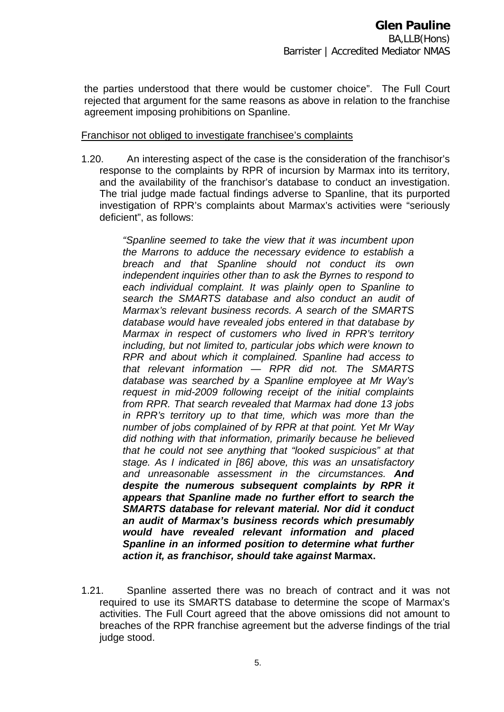the parties understood that there would be customer choice". The Full Court rejected that argument for the same reasons as above in relation to the franchise agreement imposing prohibitions on Spanline.

#### Franchisor not obliged to investigate franchisee's complaints

1.20. An interesting aspect of the case is the consideration of the franchisor's response to the complaints by RPR of incursion by Marmax into its territory, and the availability of the franchisor's database to conduct an investigation. The trial judge made factual findings adverse to Spanline, that its purported investigation of RPR's complaints about Marmax's activities were "seriously deficient", as follows:

> *"Spanline seemed to take the view that it was incumbent upon the Marrons to adduce the necessary evidence to establish a breach and that Spanline should not conduct its own independent inquiries other than to ask the Byrnes to respond to each individual complaint. It was plainly open to Spanline to search the SMARTS database and also conduct an audit of Marmax's relevant business records. A search of the SMARTS database would have revealed jobs entered in that database by Marmax in respect of customers who lived in RPR's territory including, but not limited to, particular jobs which were known to RPR and about which it complained. Spanline had access to that relevant information — RPR did not. The SMARTS database was searched by a Spanline employee at Mr Way's request in mid-2009 following receipt of the initial complaints from RPR. That search revealed that Marmax had done 13 jobs in RPR's territory up to that time, which was more than the number of jobs complained of by RPR at that point. Yet Mr Way did nothing with that information, primarily because he believed that he could not see anything that "looked suspicious" at that stage. As I indicated in [86] above, this was an unsatisfactory and unreasonable assessment in the circumstances. And despite the numerous subsequent complaints by RPR it appears that Spanline made no further effort to search the SMARTS database for relevant material. Nor did it conduct an audit of Marmax's business records which presumably would have revealed relevant information and placed Spanline in an informed position to determine what further action it, as franchisor, should take against* **Marmax.**

1.21. Spanline asserted there was no breach of contract and it was not required to use its SMARTS database to determine the scope of Marmax's activities. The Full Court agreed that the above omissions did not amount to breaches of the RPR franchise agreement but the adverse findings of the trial judge stood.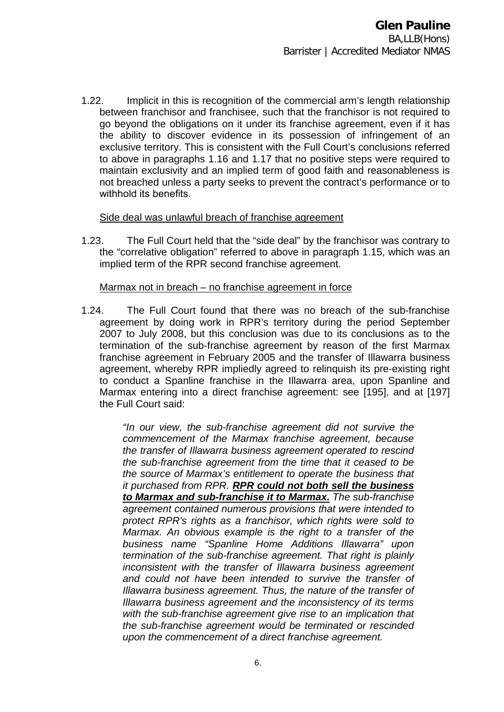1.22. Implicit in this is recognition of the commercial arm's length relationship between franchisor and franchisee, such that the franchisor is not required to go beyond the obligations on it under its franchise agreement, even if it has the ability to discover evidence in its possession of infringement of an exclusive territory. This is consistent with the Full Court's conclusions referred to above in paragraphs 1.16 and 1.17 that no positive steps were required to maintain exclusivity and an implied term of good faith and reasonableness is not breached unless a party seeks to prevent the contract's performance or to withhold its benefits.

# Side deal was unlawful breach of franchise agreement

1.23. The Full Court held that the "side deal" by the franchisor was contrary to the "correlative obligation" referred to above in paragraph 1.15, which was an implied term of the RPR second franchise agreement.

#### Marmax not in breach – no franchise agreement in force

1.24. The Full Court found that there was no breach of the sub-franchise agreement by doing work in RPR's territory during the period September 2007 to July 2008, but this conclusion was due to its conclusions as to the termination of the sub-franchise agreement by reason of the first Marmax franchise agreement in February 2005 and the transfer of Illawarra business agreement, whereby RPR impliedly agreed to relinquish its pre-existing right to conduct a Spanline franchise in the Illawarra area, upon Spanline and Marmax entering into a direct franchise agreement: see [195], and at [197] the Full Court said:

> *"In our view, the sub-franchise agreement did not survive the commencement of the Marmax franchise agreement, because the transfer of Illawarra business agreement operated to rescind the sub-franchise agreement from the time that it ceased to be the source of Marmax's entitlement to operate the business that it purchased from RPR. RPR could not both sell the business to Marmax and sub-franchise it to Marmax. The sub-franchise agreement contained numerous provisions that were intended to protect RPR's rights as a franchisor, which rights were sold to Marmax. An obvious example is the right to a transfer of the business name "Spanline Home Additions Illawarra" upon termination of the sub-franchise agreement. That right is plainly inconsistent with the transfer of Illawarra business agreement and could not have been intended to survive the transfer of Illawarra business agreement. Thus, the nature of the transfer of Illawarra business agreement and the inconsistency of its terms with the sub-franchise agreement give rise to an implication that the sub-franchise agreement would be terminated or rescinded upon the commencement of a direct franchise agreement.*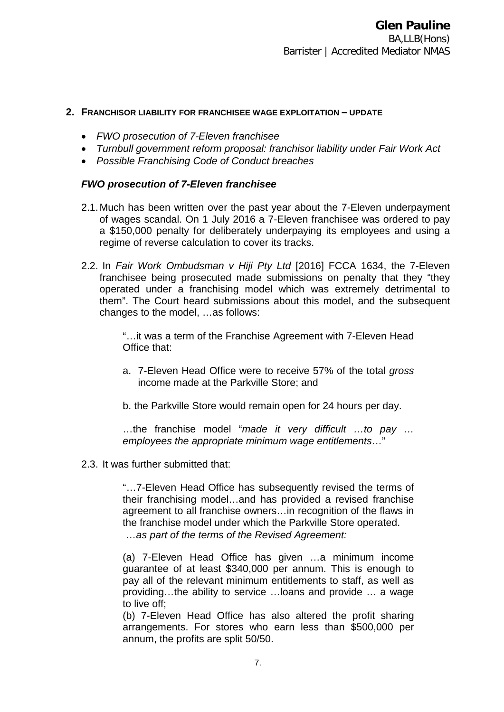#### **2. FRANCHISOR LIABILITY FOR FRANCHISEE WAGE EXPLOITATION – UPDATE**

- *FWO prosecution of 7-Eleven franchisee*
- *Turnbull government reform proposal: franchisor liability under Fair Work Act*
- *Possible Franchising Code of Conduct breaches*

# *FWO prosecution of 7-Eleven franchisee*

- 2.1.Much has been written over the past year about the 7-Eleven underpayment of wages scandal. On 1 July 2016 a 7-Eleven franchisee was ordered to pay a \$150,000 penalty for deliberately underpaying its employees and using a regime of reverse calculation to cover its tracks.
- 2.2. In *Fair Work Ombudsman v Hiji Pty Ltd* [2016] FCCA 1634, the 7-Eleven franchisee being prosecuted made submissions on penalty that they "they operated under a franchising model which was extremely detrimental to them". The Court heard submissions about this model, and the subsequent changes to the model, …as follows:

"…it was a term of the Franchise Agreement with 7-Eleven Head Office that:

- a. 7-Eleven Head Office were to receive 57% of the total *gross* income made at the Parkville Store; and
- b. the Parkville Store would remain open for 24 hours per day.

…the franchise model "*made it very difficult …to pay … employees the appropriate minimum wage entitlements*…"

2.3. It was further submitted that:

"…7-Eleven Head Office has subsequently revised the terms of their franchising model…and has provided a revised franchise agreement to all franchise owners…in recognition of the flaws in the franchise model under which the Parkville Store operated. *…as part of the terms of the Revised Agreement:*

(a) 7-Eleven Head Office has given …a minimum income guarantee of at least \$340,000 per annum. This is enough to pay all of the relevant minimum entitlements to staff, as well as providing…the ability to service …loans and provide … a wage to live off;

(b) 7-Eleven Head Office has also altered the profit sharing arrangements. For stores who earn less than \$500,000 per annum, the profits are split 50/50.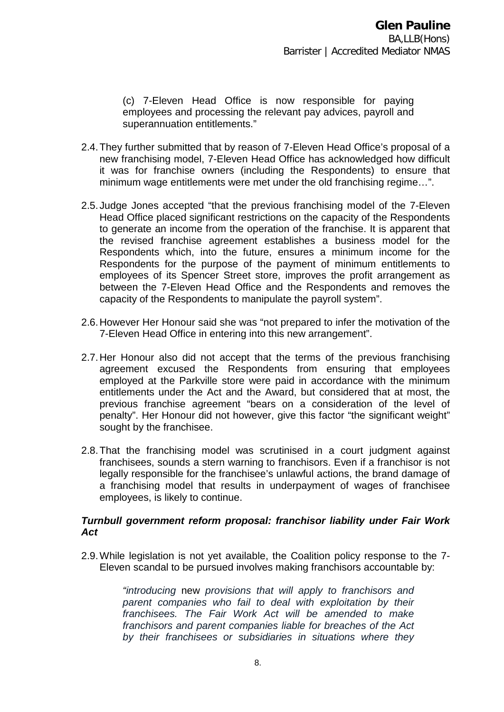(c) 7-Eleven Head Office is now responsible for paying employees and processing the relevant pay advices, payroll and superannuation entitlements."

- 2.4.They further submitted that by reason of 7-Eleven Head Office's proposal of a new franchising model, 7-Eleven Head Office has acknowledged how difficult it was for franchise owners (including the Respondents) to ensure that minimum wage entitlements were met under the old franchising regime…".
- 2.5.Judge Jones accepted "that the previous franchising model of the 7-Eleven Head Office placed significant restrictions on the capacity of the Respondents to generate an income from the operation of the franchise. It is apparent that the revised franchise agreement establishes a business model for the Respondents which, into the future, ensures a minimum income for the Respondents for the purpose of the payment of minimum entitlements to employees of its Spencer Street store, improves the profit arrangement as between the 7-Eleven Head Office and the Respondents and removes the capacity of the Respondents to manipulate the payroll system".
- 2.6.However Her Honour said she was "not prepared to infer the motivation of the 7-Eleven Head Office in entering into this new arrangement".
- 2.7.Her Honour also did not accept that the terms of the previous franchising agreement excused the Respondents from ensuring that employees employed at the Parkville store were paid in accordance with the minimum entitlements under the Act and the Award, but considered that at most, the previous franchise agreement "bears on a consideration of the level of penalty". Her Honour did not however, give this factor "the significant weight" sought by the franchisee.
- 2.8.That the franchising model was scrutinised in a court judgment against franchisees, sounds a stern warning to franchisors. Even if a franchisor is not legally responsible for the franchisee's unlawful actions, the brand damage of a franchising model that results in underpayment of wages of franchisee employees, is likely to continue.

# *Turnbull government reform proposal: franchisor liability under Fair Work Act*

2.9.While legislation is not yet available, the Coalition policy response to the 7- Eleven scandal to be pursued involves making franchisors accountable by:

> *"introducing* new *provisions that will apply to franchisors and parent companies who fail to deal with exploitation by their franchisees. The Fair Work Act will be amended to make franchisors and parent companies liable for breaches of the Act by their franchisees or subsidiaries in situations where they*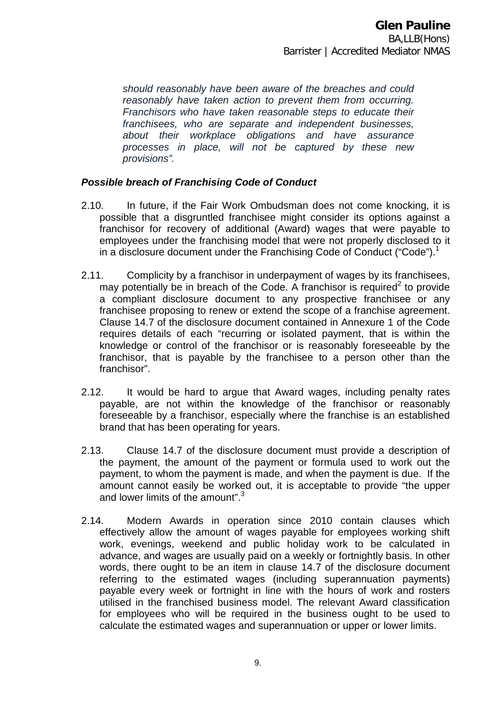*should reasonably have been aware of the breaches and could reasonably have taken action to prevent them from occurring. Franchisors who have taken reasonable steps to educate their franchisees, who are separate and independent businesses, about their workplace obligations and have assurance processes in place, will not be captured by these new provisions".* 

# *Possible breach of Franchising Code of Conduct*

- 2.10. In future, if the Fair Work Ombudsman does not come knocking, it is possible that a disgruntled franchisee might consider its options against a franchisor for recovery of additional (Award) wages that were payable to employees under the franchising model that were not properly disclosed to it in a disclosure document under the Franchising Code of Conduct ("Code").<sup>1</sup>
- 2.11. Complicity by a franchisor in underpayment of wages by its franchisees, may potentially be in breach of the Code. A franchisor is required<sup>2</sup> to provide a compliant disclosure document to any prospective franchisee or any franchisee proposing to renew or extend the scope of a franchise agreement. Clause 14.7 of the disclosure document contained in Annexure 1 of the Code requires details of each "recurring or isolated payment, that is within the knowledge or control of the franchisor or is reasonably foreseeable by the franchisor, that is payable by the franchisee to a person other than the franchisor".
- 2.12. It would be hard to argue that Award wages, including penalty rates payable, are not within the knowledge of the franchisor or reasonably foreseeable by a franchisor, especially where the franchise is an established brand that has been operating for years.
- 2.13. Clause 14.7 of the disclosure document must provide a description of the payment, the amount of the payment or formula used to work out the payment, to whom the payment is made, and when the payment is due. If the amount cannot easily be worked out, it is acceptable to provide "the upper and lower limits of the amount".<sup>3</sup>
- 2.14. Modern Awards in operation since 2010 contain clauses which effectively allow the amount of wages payable for employees working shift work, evenings, weekend and public holiday work to be calculated in advance, and wages are usually paid on a weekly or fortnightly basis. In other words, there ought to be an item in clause 14.7 of the disclosure document referring to the estimated wages (including superannuation payments) payable every week or fortnight in line with the hours of work and rosters utilised in the franchised business model. The relevant Award classification for employees who will be required in the business ought to be used to calculate the estimated wages and superannuation or upper or lower limits.